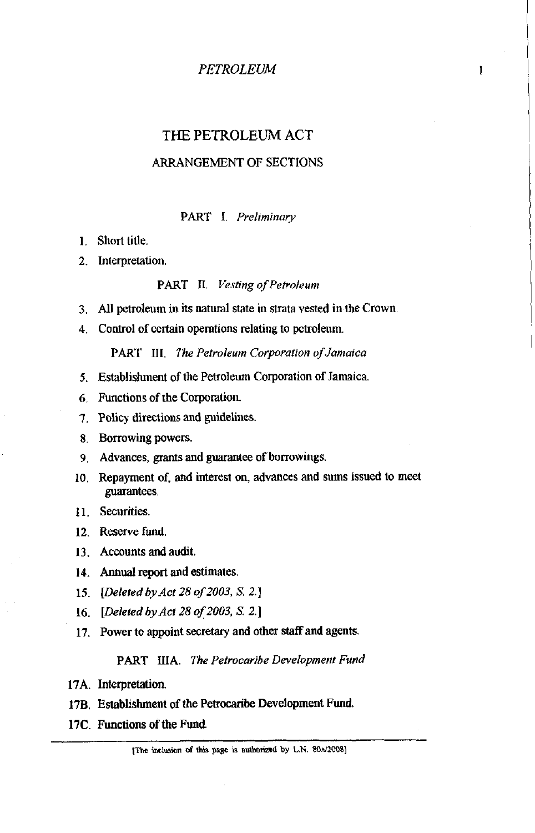$\mathbf{1}$ 

# THE PETROLEUM ACT

### ARRANGEMENT OF SECTIONS

### PART I. *Preliminary*

- 1. Short title.
- 2. Interpretation.

#### PART **II.** *Vesting of Petroleum*

- 3. All petroleum in its natural state in strata vested in the Crown.
- 4. Control of certain operations relating to petroleum.

PART III. *The Petroleum Corporation of Jamaica* 

- 5. Establishment of the Petroleum Corporation of Jamaica
- 6 Functions of the Corporation.
- **7.** Policy directions and guidelines.
- 8. Borrowing powers.
- 9. Advances, grants and guarantee of borrowings.
- 10. Repayment of, and interest on, advances and **sums** issued to meet guarantees.
- **11.** Securities.
- **12.** Reserve fund.
- 13. Accounts and audit.
- 14. Annual report and estimates.
- 15. *[Deleted by Act 28 of2003, S* **2.1**
- **16.** *[Deleted by Act 28 of 2003, S. 2.1*
- **17.** Power to appoint secretary and other staff and agents.

#### PART IIIA. *The Petrocaribe Development Fund*

- **17A.** Interpretation.
- **178.** Establishment of the Petrocaribe Development Fund,
- **17C.** Functions of the Fund.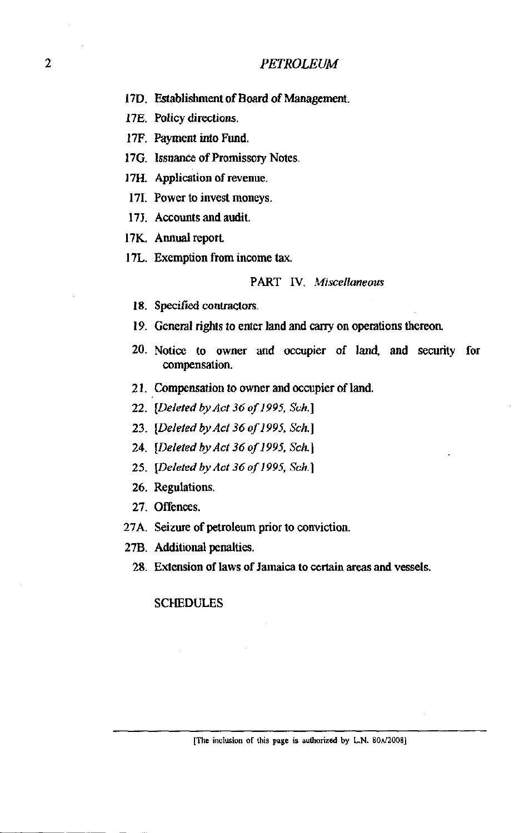- 17D. Establishment of Board of Management.
- **17E.** Policy directions.
- 17F. Payment into Fund.
- 17G. Issuance of Promissory Notes.
- 17H. Application of revenue.
- 171. Power to invest moneys.
- 17J. Accounts and audit.
- 17K. Annual report
- 17L. Exemption from income **tax.**

#### *PART IV. Miscellaneous*

- 18. Specified contractors.
- 19. General rights to enter land and canyon operations thereon
- 20. Notice to owner and occupier of land, and security for cornpensation.
- 21. Compensation to owner and occupier of land.
- 22. *[Deleted byAcf* 36 *of 199.5, Sch.]*
- 23. *[Deleted by Act 36 of 1995, Sch.]*
- *24. [Deleted by Act 36 of 1995. Sch.]*
- 25. *[Deleted by Act 36 of 1995, Sch.]*
- *26.* Regulations.
- 27. Offences.
- 27A. Seizure of petroleum prior to conviction.
- 27B. Additional penalties.
	- 28. Extension of laws of Jamaica to **certain** areas and vessels.

#### SCHEDULES

[The inclusion of this page is authorized by L.N.  $80A/2008$ ]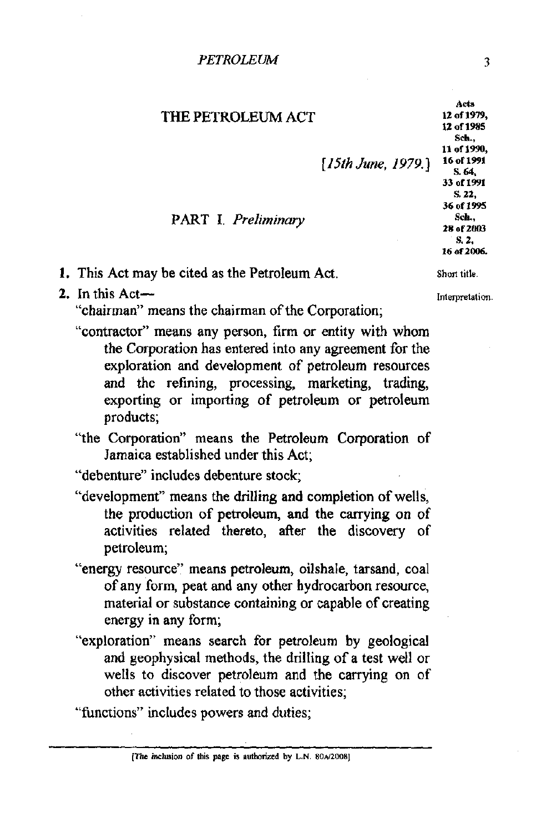*PETROLEW* **3** 

# THE PETROLEUM ACT

*[ISth* **June,** *1979.1* **l6;%"'** 

#### 12 of 1979. 12 of 1985 **Sch, 11 of 1990,**  S. 64. **33 of1991 S. 22, 36 of 1995**  PART I. *Preliminary Sch. 28 of 2003* s. 2. 16 **012006.**

Acts

**1.** This Act may be cited as the Petroleum Act. Short title.

2. In this Act-

"chairman" means the chairman of the Corporation;

- "contractor" means any person, firm or entity with whom the Corporation has entered into any agreement for the exploration and development of petroleum resources and the refining, processing, marketing, trading, exporting or importing of petroleum or petroleum products;
- "the Corporation" means the Petroleum Corporation of Jamaica established under this Act;

"debenture" includes debenture stock;

- "development" means the drilling and completion of wells, the production of petroleum, and the carrying on of activities related thereto, **after** the discovery of petroleum;
- "energy resource" means petroleum, oilshale, tarsand, coal of any form, peat and any other hydrocarbon resource, material or substance containing or capable of creating energy in any form;
- "exploration" means search for petroleum by geological and geophysical methods, the drilling of a test well or wells to discover petroleum and the carrying on of other activities related to those activities;

"functions" includes powers and duties;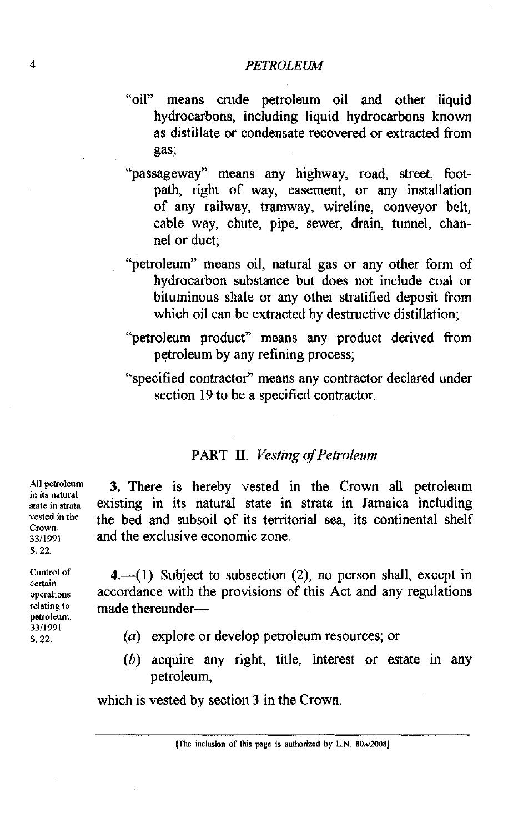- "oil" means crude petroleum oil and other liquid hydrocarbons, including liquid hydrocarbons known as distillate or condensate recovered or extracted from gas;
- "passageway" means any highway, road, street, footpath, right of way, easement, or any installation of any railway, tramway, wireline, conveyor belt, cable way, chute, pipe, sewer, drain, tunnel, channel or duct;
- "petroleum" means oil, natural gas or any other form of hydrocarbon substance but does not include coal or bituminous shale or any other stratified deposit from which oil can be extracted by destructive distillation;
- "petroleum product" means any product derived from petroleum by any refining process;
- "specified contractor" means any contractor declared under section 19 to be a specified contractor.

# **PART II.** *Vesting of Petroleum*

3. There is hereby vested in the Crown all petroleum existing in its natural state in strata in Jamaica including the bed and subsoil of its territorial sea, its continental shelf and the exclusive economic zone.

4. $-(1)$  Subject to subsection (2), no person shall, except in accordance with the provisions of this Act and any regulations made thereunder-

- (a) explore or develop petroleum resources; or
- (b) acquire any right, title, interest or estate in any petroleum,

which is vested by section 3 in the Crown.

**[The inclusion of this page is authorized by L.N.**  $80\frac{\lambda}{2008}$ **]** 

**All petroleum in its natural State in strata vested in the crown. 3311991**  *S.* **22.** 

**Cuotrol of certain operations relatine** - **to**  petroleum. **3311991**  S. **22.**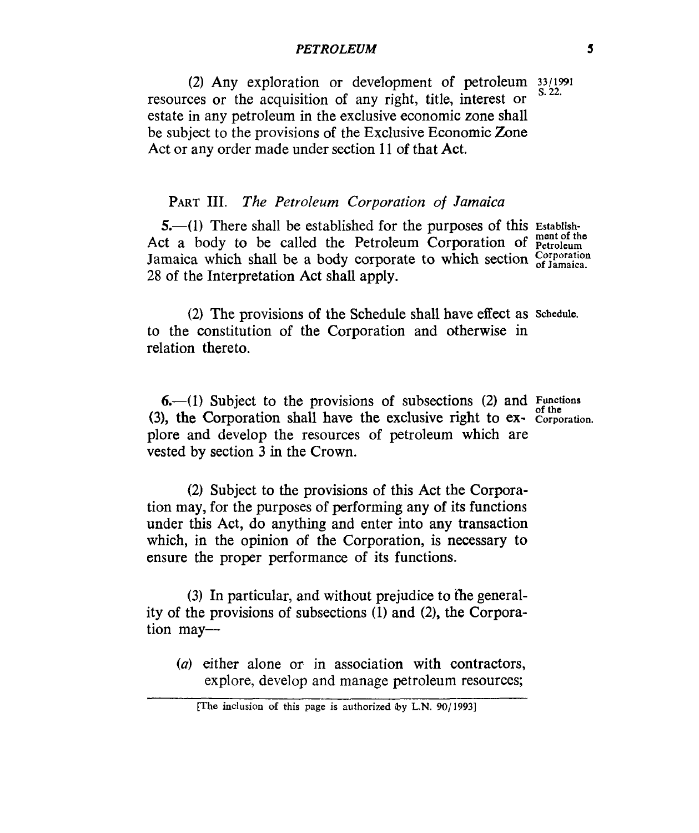**(2)** Any exploration or development of petroleum **33/1991**  s. *22.*  resources or the acquisition of any right, title, interest or estate in any petroleum in the exclusive economic zone shall be subject to the provisions of the Exclusive Economic Zone Act or any order made under section 11 of that Act.

# **PART** 111. *The Petroleum Corporation of Jamaica*

**5.**—(1) There shall be established for the purposes of this Establish-Act a body to be called the Petroleum Corporation of **Petroleum** Jamaica which shall be a body corporate to which section  $_{\text{of }lamaica}^{\text{Corporation}}$ 28 of the Interpretation Act shall apply.

(2) The provisions of the Schedule shall have effect as **Schedule.**  to the constitution of the Corporation and otherwise in relation thereto.

**6.**-(1) Subject to the provisions of subsections (2) and Functions **(3),** the Corporation shall have the exclusive right to **ex- Corporation.**  plore and develop the resources of petroleum which are vested by section **3** in the Crown.

**(2)** Subject to the provisions of this Act the Corporation may, for the purposes of performing any of its functions under this Act, do anything and enter into any transaction which, in the opinion of the Corporation, is necessary to ensure the proper performance of its functions.

(3) In particular, and without prejudice to the generality of the provisions of subsections (1) and (2), the Corporation may-

*(a)* either alone or in association with contractors, explore, develop and manage petroleum resources;

**<sup>[</sup>The inclusion of** this **page is authorized by** L.N. **90/1993]**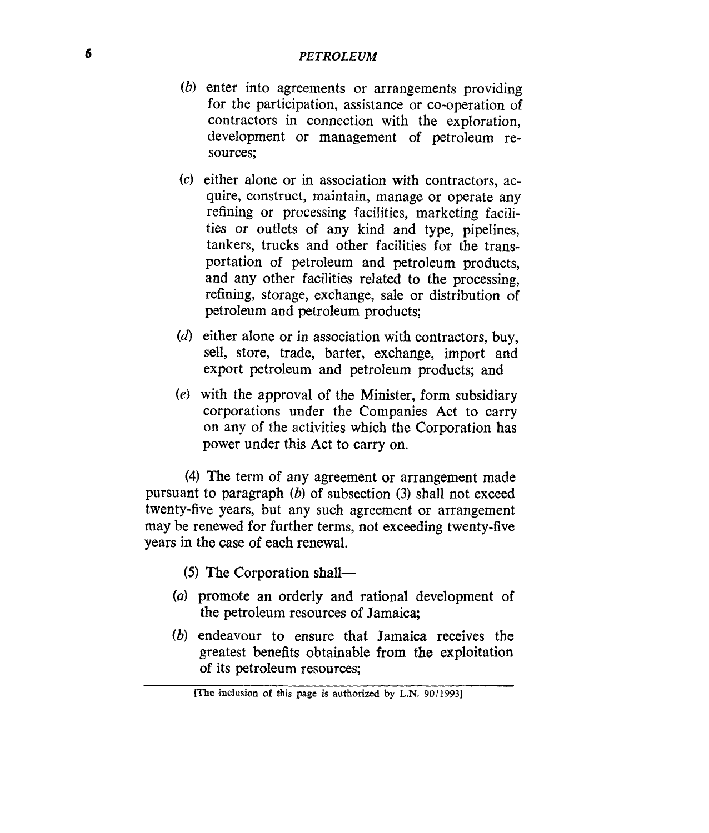- *(b)* enter into agreements or arrangements providing for the participation, assistance or co-operation of contractors in connection with the exploration, development or management of petroleum resources;
- *(c)* either alone or in association with contractors, ac**quire,** construct, maintain, manage or operate any refining or processing facilities, marketing facilities or outlets of any kind and type, pipelines, tankers, trucks and other facilities for the transportation of petroleum and petroleum products, and any other facilities related to the processing, refining, storage, exchange, sale or distribution of petroleum and petroleum products;
- (d) either alone or in association with contractors, buy, sell, store, trade, barter, exchange, import and export petroleum and petroleum products; and
- *(e)* with the approval of the Minister, form subsidiary corporations under the Companies Act to carry on any of the activities which the Corporation has power under this Act to carry on.

**(4)** The term of any agreement or arrangement made pursuant to paragraph *(b)* of subsection (3) shall not exceed twenty-five years, but any such agreement or arrangement may be renewed for further terms, not exceeding twenty-five years in the case of each renewal.

- *(5)* The Corporation shall-
- *(a)* promote an orderly and rational development of the petroleum resources of Jamaica;
- *(b)* endeavour to ensure that Jamaica receives the greatest benefits obtainable from the exploitation **of** its petroleum resources;

*<sup>[</sup>The* **inclusion of this** *page is* authorized **by** L.N. *90/1.9931*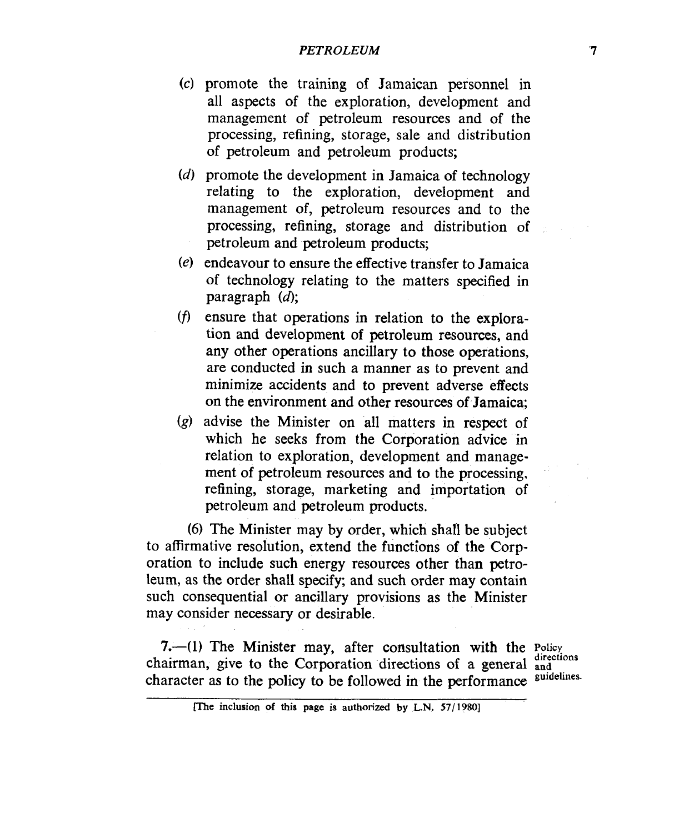#### *PETROLEUM '7*

- promote the training of Jamaican personnel in all aspects of the exploration, development and management of petroleum resources and of the processing, refining, storage, sale and distribution of petroleum and petroleum products;
- promote the development in Jamaica **of** technology relating to the exploration, development and management of, petroleum resources and to the processing, refining, storage and distribution of petroleum and petroleum products;
- endeavour to ensure the effective transfer to Jamaica of technology relating to the matters specified in paragraph  $(d)$ ;
- ensure that operations in relation to the explora- $(f)$ tion and development of petroleum resources, and any other operations ancillary to those operations, are conducted in such a manner as to prevent and minimize accidents and to prevent adverse effects on the environment and other resources of Jamaica;
- $(g)$  advise the Minister on all matters in respect of which he seeks from the Corporation advice in relation to exploration, development and management of petroleum resources and to the processing, refining, storage, marketing and importation of petroleum and petroleum products.

**(6)** The Minister may by order, which shall be subject to affirmative resolution, extend the functions of the Corporation to include such energy resources other than petroleum, as the order shall specify; and such order may contain such consequential or ancillary provisions as the Minister may consider necessary or desirable.

**7.-(1)** The Minister may, after consultation with the **Policy**  chairman, give to the Corporation directions of a general and character as to the policy to be followed in the performance suidelines. character as to the policy to be followed in the performance

**Find inclusion of this page is authorized by L.N. 57/1980]**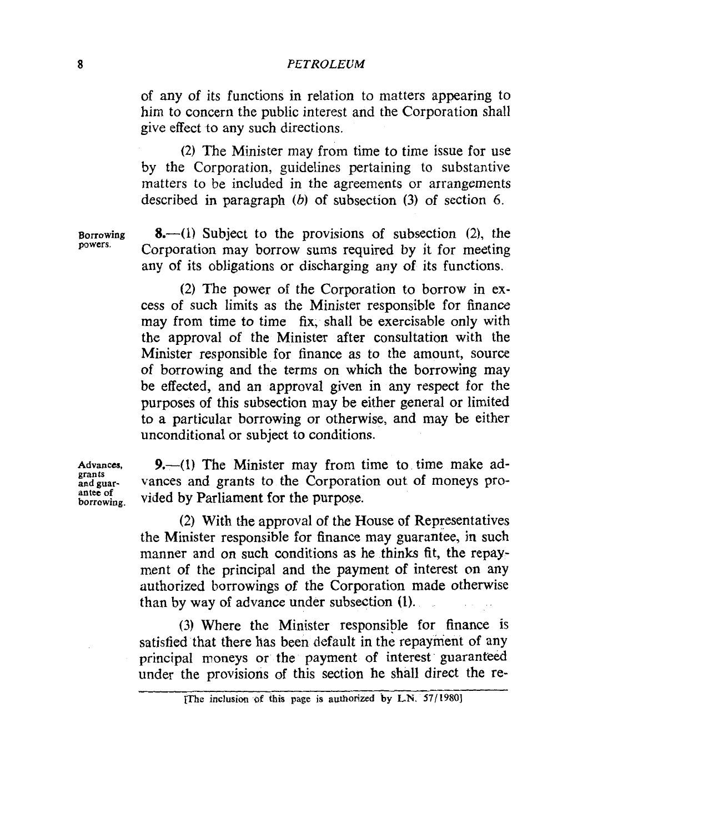of any of its functions in relation to matters appearing to him to concern the public interest and the Corporation shall give effect to any such directions.

(2) The Minister may from time to time issue for use by the Corporation, guidelines pertaining to substantive matters to be included in the agreements or arrangements described in paragraph *(b)* of subsection (3) of section *6.* 

**powers.** 

Borrowing **8.**—(1) Subject to the provisions of subsection (2), the Corporation may borrow sums required by it for meeting any of its obligations or discharging any of its functions.

> (2) The power of the Corporation to borrow in excess of such limits as the Minister responsible for finance may from time to time fix, shall be exercisable only with the approval of the Minister after consultation with the Minister responsible for finance as to the amount, source of borrowing and the terms on which the borrowing may be effected, and an approval given in **any** respect for the purposes of this subsection may be either general or limited to a particular borrowing or otherwise, and may be either unconditional or subject to conditions.

**grants antee of** 

Advances, 9.—(1) The Minister may from time to time make ad**andguar-** vances and grants to the Corporation out of moneys pro**borrowing** vided by Parliament for the purpose.

> (2) With the approval of the House of Representatives the Minister responsible for finance may guarantee, in such manner and on such conditions as he thinks fit, the repayment of the principal and the payment **of** interest on any authorized borrowings **of** the Corporation made otherwise than by way of advance under subsection **(1).**

> **(3)** Where the Minister responsible for finance is satisfied that there has been default in the repayment of any principal moneys or the payment of interest guaranteed under the provisions of this section he shall direct the re-

**<sup>[</sup>The inclusion of this page is authorized by L.N.** *57/1980]*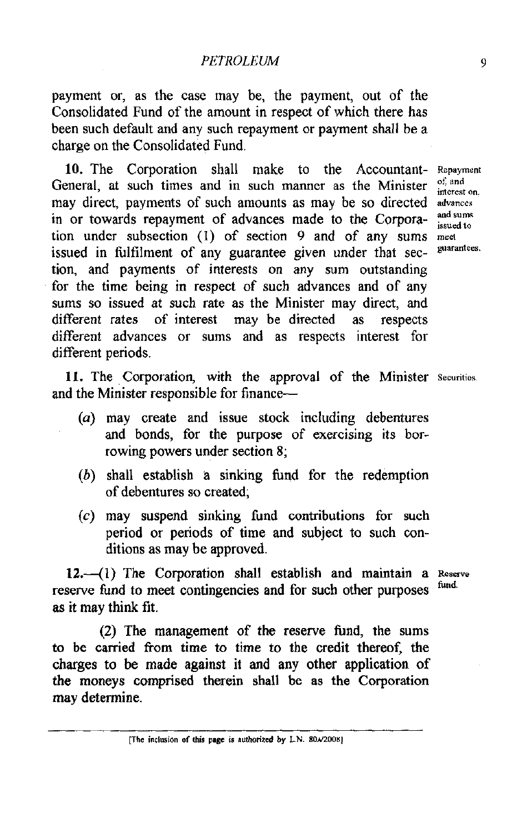payment or, as the case may be, the payment, out of the Consolidated Fund of the amount in respect of which there has been such default and any such repayment or payment shall be a charge on the Consolidated Fund.

10. The Corporation shall make to the Accountant- Repayment General, at such times and in such manner as the Minister may direct, payments of such amounts as may be so directed advances in or towards repayment of advances made to the Corpora-  $\frac{and\; sums}{inside\; to}$ tion under subsection (1) of section 9 and of any sums **meel**  issued in fulfilment of any guarantee given under that section, and payments of interests on any sum outstanding for the time being in respect of such advances and of any sums so issued at such rate as the Minister may direct, and different rates of interest may be directed as respects different advances or sums and as respects interest for different periods.

interest on.

11. The Corporation, with the approval of the Minister **Securities.**  and the Minister responsible for finance-

- (a) may create and issue stock including debentures and bonds, for the purpose of exercising its borrowing powers under section 8;
- *(6)* shall establish a sinking fund for the redemption of debentures so created;
- *(c)* may suspend sinking fund contributions for such period or periods of time and subject to such conditions as may be approved.

12.<sup>-</sup>(1) The Corporation shall establish and maintain a **Roserve** reserve fund to meet contingencies and for such other purposes as it may think fit.

(2) The management of the reserve fimd, the sums to be carried from time to time to the credit thereof, the charges to be made against it and any other application of the moneys comprised therein shall be as the Corporation may determine.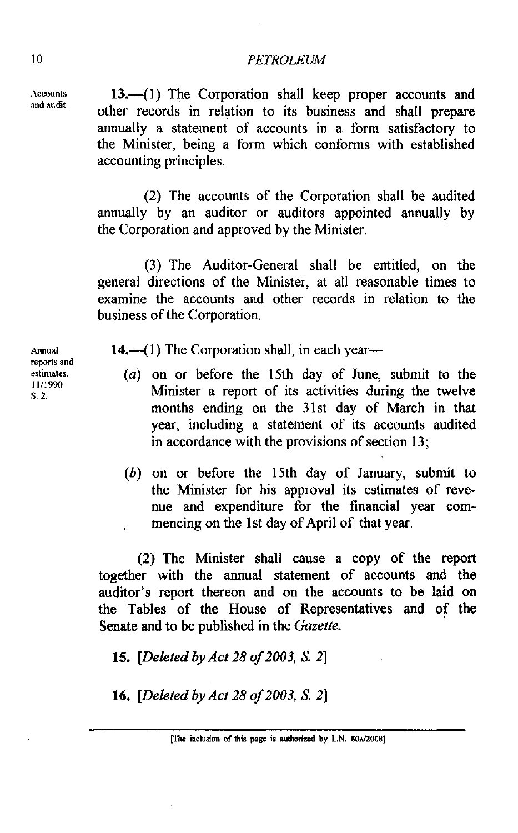Accounts **13.**—(1) The Corporation shall keep proper accounts and other records in relation to its business and shall prepare annually a statement of accounts in a form satisfactory to the Minister, being a form which conforms with established accounting principles.

> (2) The accounts of the Corporation shall be audited annually by an auditor or auditors appointed annually by the Corporation and approved by the Minister.

> (3) The Auditor-General shall be entitled, on the general directions of the Minister, at all reasonable times to examine the accounts and other records in relation to the business of the Corporation.

Armual **14.**—(1) The Corporation shall, in each year—

- **estimates. (a)** on or before the 15th day of June, submit to the **S. 2.** Minister a report of its activities during the twelve months ending on the 31st day of March in that year, including a statement of its accounts audited in accordance with the provisions of section 13;
	- (b) on or before the 15th day of January, submit to the Minister for his approval its estimates of revenue and expenditure for the financial year commencing on the 1st day of April of that year.

(2) The Minister shall cause a copy of the report together with the annual statement of accounts and the auditor's report thereon and on the accounts to be laid on the Tables of the House of Representatives and of the Senate and to be published in the *Gazette.* 

*15. [Deleted* by *Act 28* of *2003, S. 21* 

16. *[Deleted by Act 28 of 2003, S. 2]* 

**reporls and 1111990**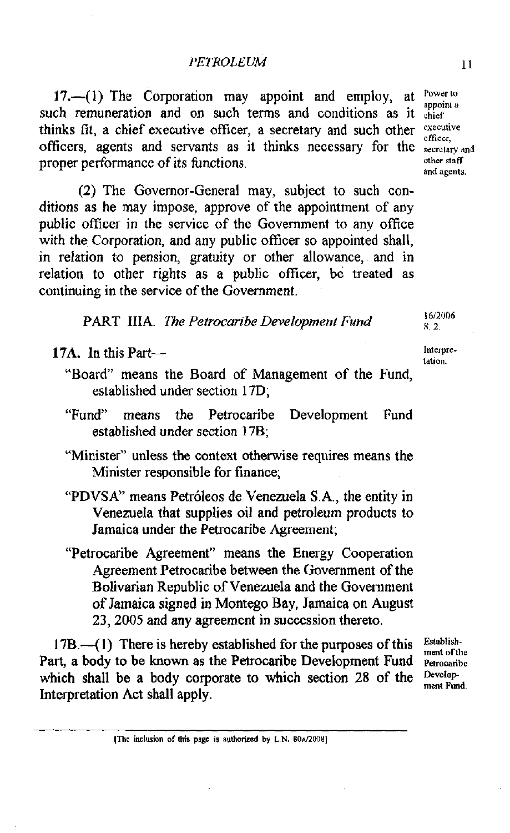17. $-(1)$  The Corporation may appoint and employ, at  $\frac{Power}{a}$ such remuneration and on such terms and conditions as it **chief** thinks fit, a chief executive officer, a secretary and such other *executive* officer. officers, agents and servants as it thinks necessary for the **secretary and propor performance** of its functions proper performance of its functions.

(2) The Governor-General may, subject to such conditions as he may impose, approve of the appointment of any public officer in the service of the Government to any office with the Corporation, and any public officer so appointed shall. in relation to pension, gratuity or other allowance, and in relation to other rights as a public officer, be treated as continuing in the service of the Government.

PART **IIIA.** The Petrocaribe *Development* **find 1612U06** 

17A. In this Part-

- "Board" means the Board of Management of the Fund, established under section 17D;
- "Fund" means the Petrocaribe Development Fund established under section 17B;
- "Minister" unless the context otherwise requires means the Minister responsible for finance;
- "PDVSA" means Petroleos de Venezuela S.A., the entity in Venezuela that supplies oil and petroleum products to Jamaica under the Petrocaribe Agreement;
- "Petrocaribe Agreement" means the Energy Cooperation Agreement Petrocaribe between the Government of the Bolivarian Republic of Venezuela and the Government of Jamaica signed in Montego Bay, Jamaica on August 23,2005 and any agreement in succession thereto.

17B.--(1) There is hereby established for the purposes of this *Establishment* of the Part, a body to be known as the Petrocaribe Development Fund **Petrocaribe** which shall be a body corporate to which section 28 of the **Peyelop** ment Fund. Interpretation Act shall apply.

**[The inclvsian of this page is authorized by L.N. 80d2008]** 

tation.

**S. 2.** 

**and agents.**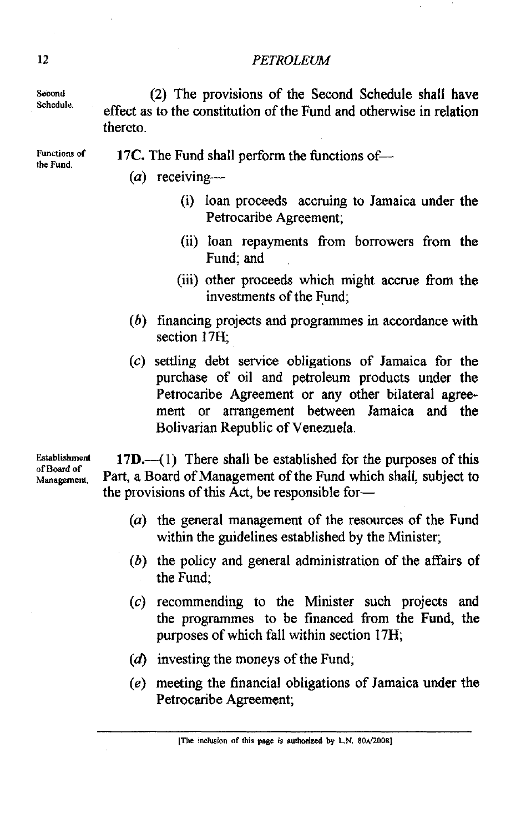Second Schedule.

(2) The provisions of the Second Schedule shall have effect as to the constitution of the Fund and otherwise in relation thereto.

**Functions** of the Fund.

- **17C.** The Fund shall perform the functions of-
	- $(a)$  receiving-
		- (i) loan proceeds accruing to Jamaica under the Petrocaribe Agreement;
		- (ii) loan repayments from borrowers from the Fund; and
		- (iii) other proceeds which might accrue from the investments of the Fund;
	- (b) financing projects and programmes in accordance with section **17H;**
	- (c) settling debt service obligations of Jamaica for the purchase of oil and petroleum products under the Petrocaribe Agreement or any other bilateral agreement or arrangement between Jamaica and the Bolivarian Republic of Venezuela.

**Establishment of Bwd of Management.** 

 $17D.$ —(1) There shall be established for the purposes of this Part, a Board of Management of the Fund which shall, subject to the provisions of this Act, be responsible for-

- (a) the general management of the resources of the Fund within the guidelines established by the Minister;
- (b) the policy and general administration of the affairs of the Fund;
- (c) recommending to the Minister such projects and the programmes to be financed from the Fund, the purposes of which fall within section 17H;
- **(d)** investing the moneys of the Fund;
- (e) meeting the financial obligations of Jamaica under the Petrocaribe Agreement;

**[The inrlvsion of this pge is authorircd by L.N. 80\*12008]**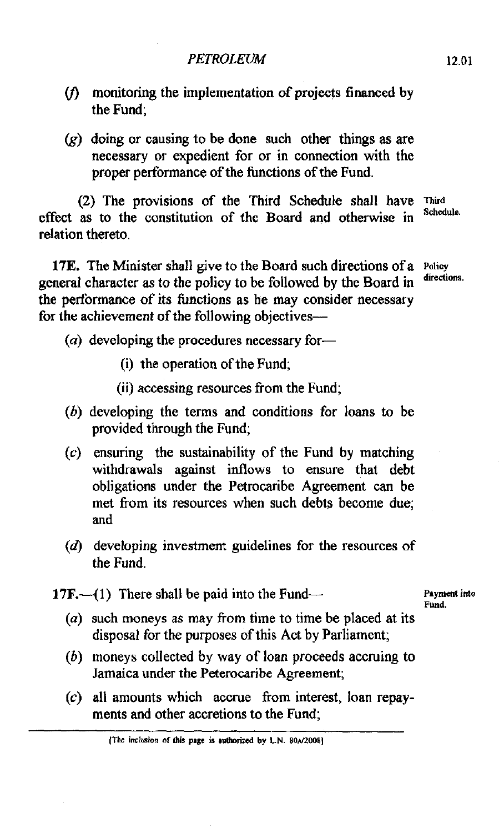- $(f)$  monitoring the implementation of projects financed by the Fund;
- $(g)$  doing or causing to be done such other things as are necessary or expedient for or in connection with the proper performance of the functions of the Fund.

(2) The provisions of the Third Schedule shall have effect as to the constitution of the Board and otherwise in Schedule. relation thereto.

**17E.** The Minister shall give to the Board such directions of a **policy**  general character as to the policy to be followed by the Board in the performance of its functions as he may consider necessary for the achievement of the following objectives--

- **(a)** developing the procedures necessary for-
	- (i) the operation of the Fund;
	- (ii) accessing resources from the Fund;
- (h) developing the terms and conditions for loans to be provided through the Fund;
- **(c)** ensuring the sustainability of the Fund by matching withdrawals against inflows to ensure that debt obligations under the Petrocaribe Agreement can be met from its resources when such debts become due; and
- $(d)$  developing investment guidelines for the resources of the Fund.
- **17F.**—(1) There shall be paid into the Fund— **Payment** into

**Fund.** 

- $(a)$  such moneys as may from time to time be placed at its disposal for the purposes of this Act by Parliament;
- (b) moneys collected by way of loan proceeds accruing to Jamaica under the Peterocaribe Agreement;
- **(c)** all amounts which accrue from interest, loan repayments and other accretions to the Fund;

<sup>[</sup>The inclusion of this page is authorized by L.N. 80A/2008]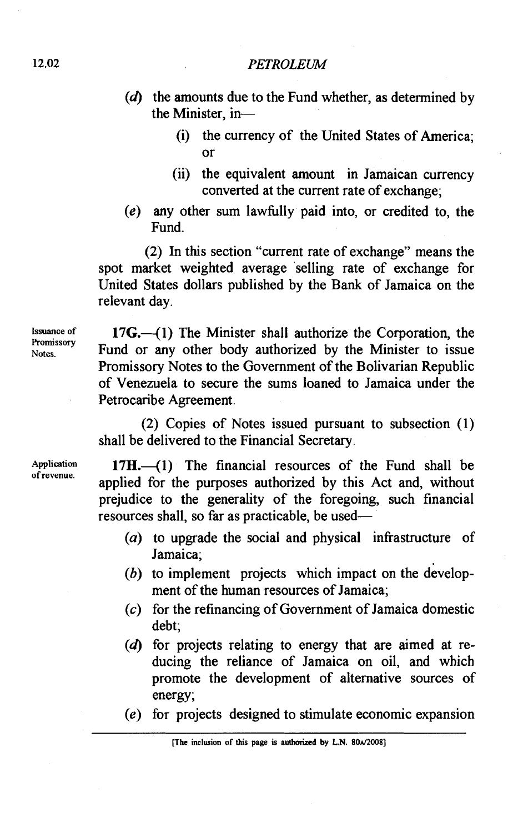- $(d)$  the amounts due to the Fund whether, as determined by the Minister, in-
	- (i) the currency of the United States of America; or
	- (ii) the equivalent amount in Jamaican currency converted at the current rate of exchange;
- (e) any other sum lawhlly paid into, or credited to, the Fund.

(2) In this section "current rate of exchange" means the spot market weighted average selling rate of exchange for United States dollars published by the Bank of Jamaica on the relevant day.

**Issuance of Promissory Notes.** 

 $17G - (1)$  The Minister shall authorize the Corporation, the Fund or any other body authorized by the Minister to issue Promissory Notes to the Government of the Bolivarian Republic of Venezuela to secure the sums loaned to Jamaica under the Petrocaribe Agreement.

(2) Copies of Notes issued pursuant to subsection (1) shall be delivered to the Financial Secretary.

**Application of revenue.** 

 $17H$ . $(1)$  The financial resources of the Fund shall be applied for the purposes authorized by this Act and, without prejudice to the generality of the foregoing, such financial resources shall, so far as practicable, be used-

- (a) to upgrade the social and physical infrastructure of Jamaica;
- (b) to implement projects which impact on the development of the human resources of Jamaica;
- (c) for the refinancing of Government of Jamaica domestic debt;
- $(d)$  for projects relating to energy that are aimed at reducing the reliance of Jamaica on oil, and which promote the development of alternative sources of energy;
- (e) for projects designed to stimulate economic expansion

**[The inclusion of this page is authorized by L.N. 80d20081**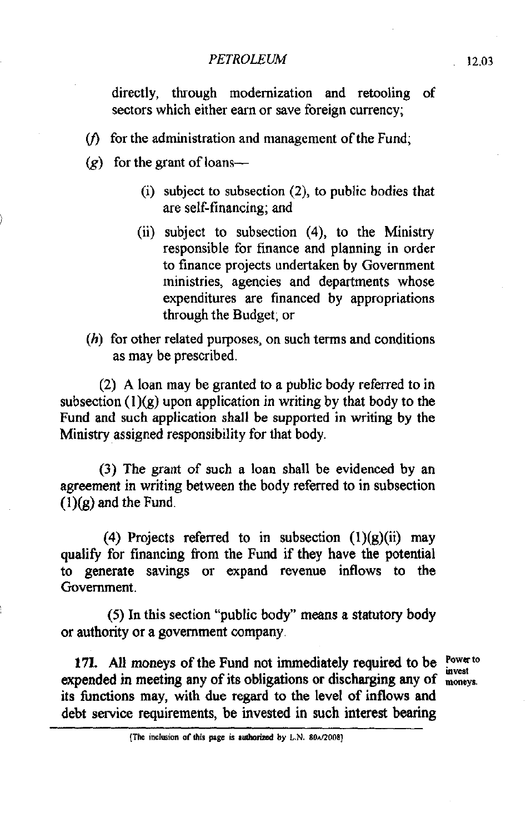directly, through modernization and retooling of sectors which either earn or save foreign currency;

- ( $f$ ) for the administration and management of the Fund;
- $(g)$  for the grant of loans-
	- (i) subject to subsection **(Z),** to public bodies that are self-financing; and
	- (ii) subject to subsection (4), to the Ministry responsible for finance and planning in order to finance projects undertaken by Government ministries, agencies and departments whose expenditures are financed by appropriations through the Budget; or
- (h) for other related purposes, on such terms and conditions as may be prescribed.

(2) A loan may be granted to a public body referred to in subsection  $(1)(g)$  upon application in writing by that body to the Fund and such application shall be supported in writing by the Ministry assigned responsibility for that body.

(3) The grant of such a loan shall be evidenced by an agreement in writing between the body referred to in subsection  $\overline{(1)}(g)$  and the Fund.

(4) Projects referred to in subsection  $(1)(g)(ii)$  may qualify for financing from the Fund if they have the potential to generate savings or expand revenue inflows to the Government.

(5) In this section "public body" means a statutory body or authority or a government company.

171. All moneys of the Fund not immediately required to be **POWAT** invest expended in meeting any of its obligations or discharging any of <sub>moneys</sub> its functions may, with due regard to the level of inflows and debt service requirements, be invested in such interest bearing

<sup>(</sup>The inclusion of this page is authorized by L.N. 80x/2008)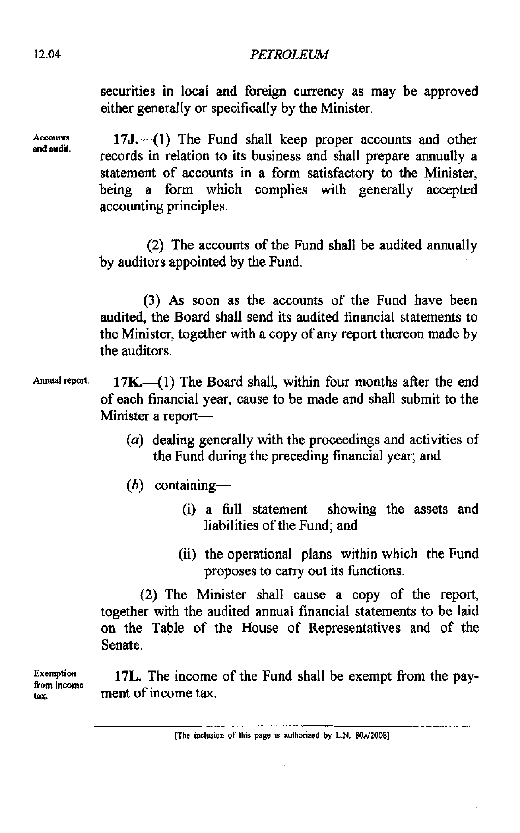securities in local and foreign currency as may be approved either generally or specifically by the Minister.

17J.--(1) The Fund shall keep proper accounts and other records in relation to its business and shall prepare annually a statement of accounts in a form satisfactory to the Minister, being a form which complies with generally accepted accounting principles.

(2) The accounts of the Fund shall be audited annually by auditors appointed by the Fund.

(3) As soon as the accounts of the Fund have been audited, the Board shall send its audited financial statements to the Minister, together with a copy of any report thereon made by the auditors.

Annual report. **17K.**—(1) The Board shall, within four months after the end of each financial year, cause to be made and shall submit to the Minister a report-

- **(a)** dealing generally with the proceedings and activities of the Fund during the preceding financial year; and
- $(b)$  containing-
	- (i) a full statement showing the assets and liabilities of the Fund; and
	- (ii) the operational plans within which the Fund proposes to carry out its functions.

(2) The Minister shall cause a copy of the report, together with the audited annual financial statements to be laid on the Table of the House of Representatives and of the Senate.

**Exemption**  from income<br>tax.

17L. The income of the Fund shall be exempt fiom the payment of income tax.

**[The inclusion of this page is authorized by L.N. 80** $\lambda$ **/2008]** 

**Accounts**<br>and audit.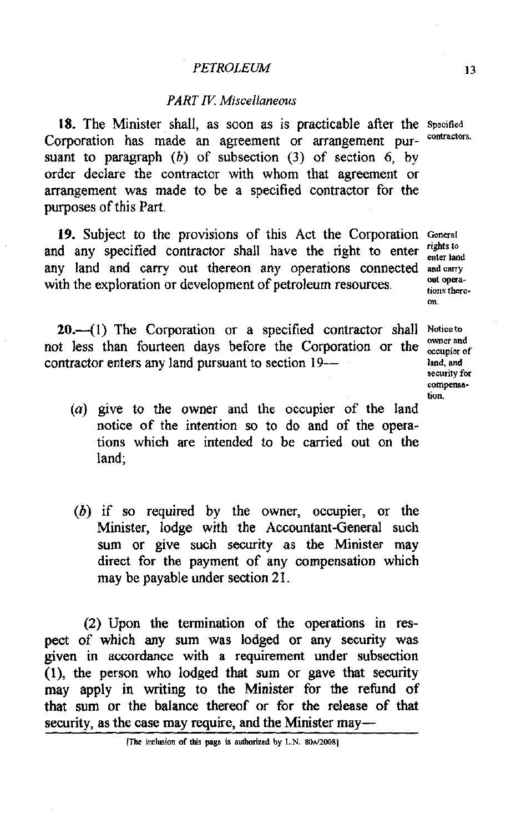## *PART* **IK** *Miscellaneous*

18. The Minister shall, as soon as is practicable after the Specified Corporation has made an agreement or arrangement pursuant to paragraph  $(b)$  of subsection  $(3)$  of section 6, by order declare the contractor with whom that agreement or arrangement was made to be a specified contractor for the purposes of this Part.

19. Subject to the provisions of this Act the Corporation General and agree of the corporation of the corporation of the *nights* to and any specified contractor shall have the right to enter any land and carry out thereon any operations connected **andcarry**  with the exploration or development of petroleum resources. with the exploration of development of petroleum resources.

enter land **On.** 

20.--(1) The Corporation or a specified contractor shall Notice to not less than fourteen days before the Corporation or the **owner** and contractor enters any land pursuant to section 19-

- **security for compensamn.**
- (a) give to the owner and the occupier of the land notice of the intention so to do and of the operations which are intended to be carried out on the land;
- (b) if so required by the owner, occupier, or the Minister, lodge with the Accountant-General such sum or give such security as the Minister may direct for the payment of any compensation which may be payable under section 21.

(2) Upon the termination of the operations in respect of which any sum was lodged or any security was given in accordance with a requirement under subsection  $(1)$ , the person who lodged that sum or gave that security may apply in writing to the Minister for the refund of that sum or the balance thereof or for the release of that security, as the case may require, and the Minister may-

**IThe inclusion of this page is authorized by L.N. 80A/2008)**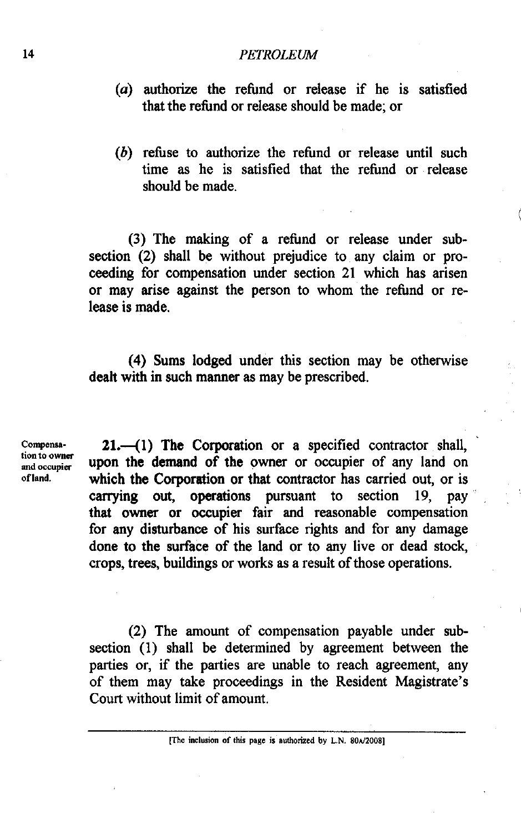- **(a)** authorize the refund or release if he is satisfied that the refund or release should be made; or
- (b) refuse to authorize the refund or release until such time as he is satisfied that the refund or release should be made.

(3) The making of a refund or release under subsection (2) shall be without prejudice to any claim or proceeding for compensation under section **21** which has arisen or may arise against the person to whom the refund or release is made.

(4) Sums lodged under this section may be otherwise dealt with in such manner as may be prescribed.

Compensa-<br>tion to owner

**21.** (1) The Corporation or a specified contractor shall, tion to owner upon the demand of the owner or occupier of any land on of land. **which the Corporation or that contractor has carried out, or is** carrying out, operations pursuant to section 19, pay that owner or occupier fair and reasonable compensation for any disturbance of his surface rights and for any damage done to the surface of the land or to any live or dead stock, crops, trees, buildings or works as a result of those operations.

> **(2)** The amount of compensation payable under subsection (1) shall be determined by agreement between the parties or, if the parties are unable to reach agreement, any of them may take proceedings in the Resident Magistrate's Court without limit of amount.

> > **[The inclusion of this page is authorized by L.N. 80** $\lambda$ **/2008]**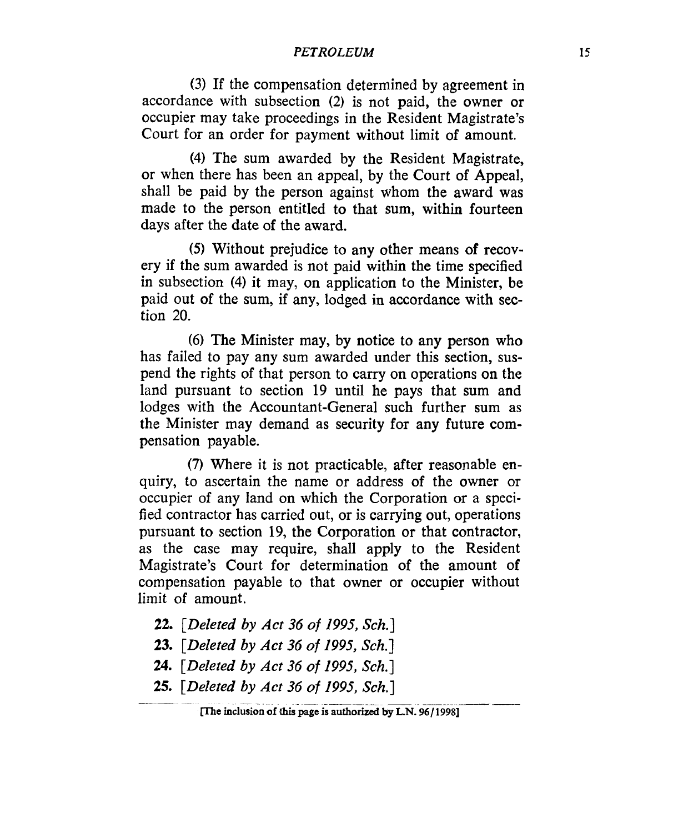**(3)** If the compensation determined by agreement in accordance with subsection **(2)** is not paid, the owner or occupier may take proceedings in the Resident Magistrate's Court for an order for payment without limit of amount.

(4) The sum awarded by the Resident Magistrate, or when there has been an appeal, by the Court of Appeal, shall be paid by the person against whom the award was made to the person entitled to that sum, within fourteen days after the date **of** the award.

*(5)* Without prejudice to any other means **of** recovery if the sum awarded is not paid within the time specified in subsection **(4)** it may, on application to the Minister, be paid out of the sum, if any, lodged in accordance with section 20.

*(6)* The Minister may, by notice to any person who has failed to pay any sum awarded under this section, suspend the rights of that person to carry on operations on the land pursuant to section 19 until he pays that sum and lodges with the Accountant-General such further sum as the Minister may demand as security for any future compensation payable.

**(7)** Where it is not practicable, after reasonable enquiry, to ascertain the name or address **of** the owner or occupier of any land on which the Corporation or a specified contractor has carried out, or is carrying out, operations pursuant to section 19, the Corporation or that contractor, as the case may require, shall apply to the Resident Magistrate's Court for determination of the amount **of**  compensation payable to that owner or occupier without limit of amount.

- *22. [Deleted by Act 36 of 1995, Sch.]*
- *23. [Deleted by Act 36 of 1995, Sch.]*
- **24.** *[Deleted by Act 36 of 1995, Sch.]*
- *25. [Deleted by Act 36 of 1995, Sch.]* \_\_\_\_ .\_\_\_\_\_\_\_\_\_ \_\_\_\_

**<sup>[</sup>The inclusion of** *this* **page** *is* **authorized by L.N.** *96/* **19981**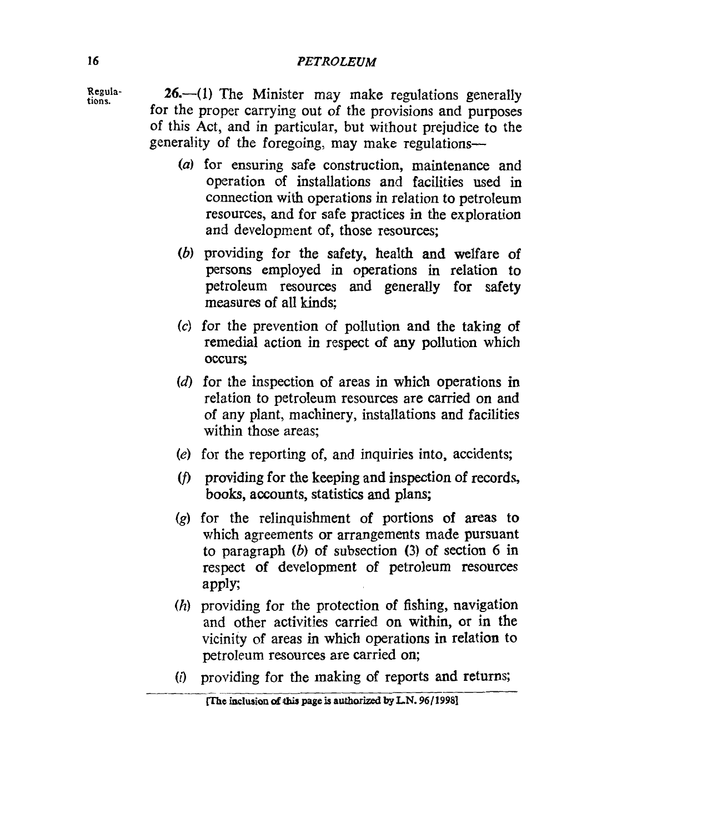**tions.** 

**Regula- 26.-(1)** The Minister may make replations generally for the proper carrying out of the provisions and purposes of this Act, and in particular, but without prejudice to the generality of the foregoing, may make regulations-

- *(a)* for ensuring safe construction, maintenance and operation of installations and facilities used in connection with operations in relation to petroleum resources, and for safe practices in the exploration and development of, those resources;
- *(b)* providing for the safety, health **and** welfare of persons employed in operations in relation to petroleum resources and generally for safety measures of all kinds;
- *(c)* for the prevention of pollution and the taking of remedial action in respect of any pollution which occurs;
- **(d)** for the inspection of areas in which operations in relation to petroleum resources are carried on and of any plant, machinery, installations and facilities within those areas;
- (e) for the reporting of, and inquiries into, accidents;
- *(f>* providing for the keeping and inspection of records, books, accounts, statistics and plans;
- *(g)* for the relinquishment of portions of areas to which agreements or arrangements made pursuant to paragraph *(b)* of subsection (3) of section *6* in respect of development of petroleum resources apply;
- *(h)* providing for the protection of fishing, navigation and other activities carried on within, or in the vicinity of areas in which operations in relation to petroleum resources are carried on;
- *(i)* providing for the **making** of reports **and** returns; \_\_\_\_\_\_ -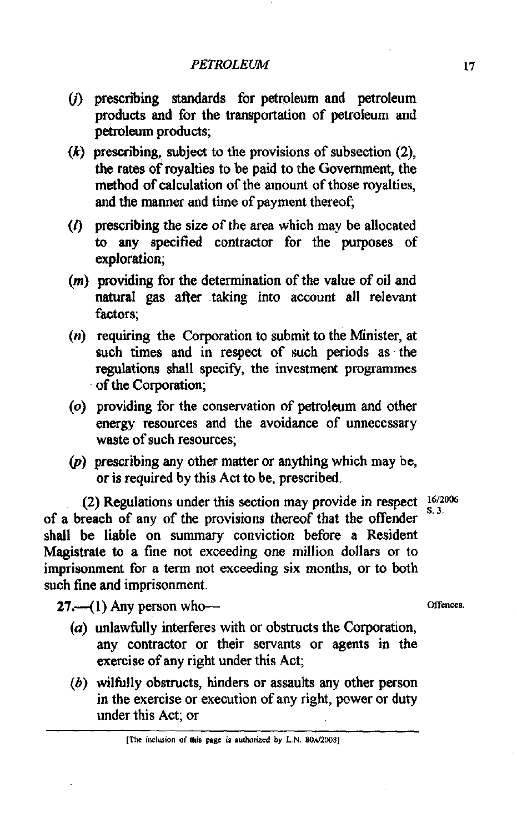- (j) prescribing standards for petroleum and petroleum products and for the transportation of petroleum and petroleum products;
- (k) prescribing, subject to the provisions of subsection **(2),**  the rates of royalties to be paid to the Government, the method of calculation of the amount of those royalties, and the manner and time of payment thereof;
- **(0** prescribing the size of the area which may be allocated to any specified contractor for the purposes of exploration;
- **(m)** providing for the determination of the value of oil and natural gas after taking into account all relevant factors;
- (n) requiring the Corporation to submit to the Minister, at such times and in respect of such periods as the regulations shall specify, the investment programmes of the Corporation;
- **(0)** providing for the conservation of petroleum and other energy resources and the avoidance of unnecessary waste of such resources;
- $(p)$  prescribing any other matter or anything which may be, or is required by this Act to be, prescribed.

(2) Regulations under this section may provide in respect  $\frac{16}{8}$ <sup>3</sup> **S. 3.** of a breach of any of the provisions thereof that the offender shall be liable on summary conviction before a Resident Magistrate to a fine not exceeding one million dollars or to imprisonment for a term not exceeding six months, or to both such fine and imprisonment.

**27.**---(1) Any person who---

- $(a)$  unlawfully interferes with or obstructs the Corporation, any contractor or their servants or agents in the exercise of any right under this Act;
- (b) wilfully obstructs, hinders or assaults any other person in the exercise or execution of any right, power or duty under this Act; or

<sup>[</sup>The inclusion of this page is authorized by L.N. 80A/2008]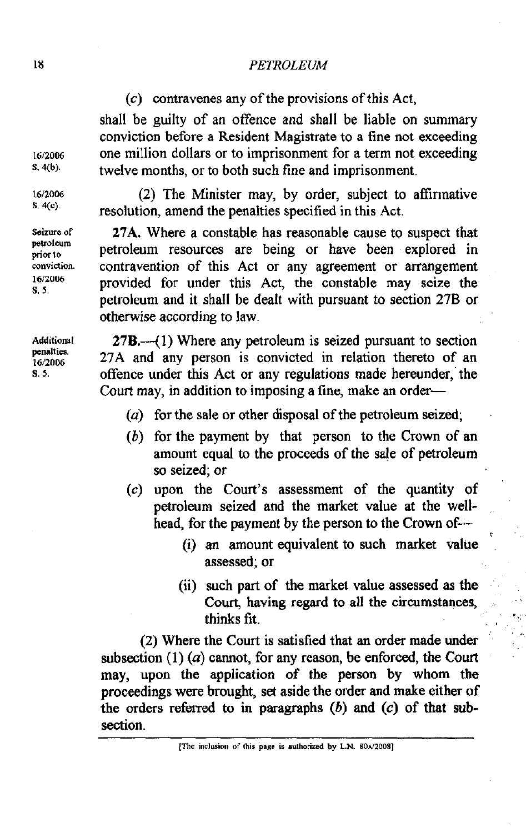(c) contravenes any of the provisions of this Act,

shall be guilty of an offence and shall be liable on summary conviction before a Resident Magistrate to a fine not exceeding one million dollars or to imprisonment for a term not exceeding twelve months, or to both such fine and imprisonment.

(2) The Minister may, by order, subject to affirmative resolution, amend the penalties specified in this Act.

27A. Where a constable has reasonable cause to suspect that petroleum resources are being or have been explored in contravention of this Act or any agreement or arrangement provided for under this Act, the constable may seize the petroleum and it shall be dealt with pursuant to section 27B or otherwise according to law.

 $27B$ .—(1) Where any petroleum is seized pursuant to section 27A and any person is convicted in relation thereto of an offence under this Act or any regulations made hereunder, the Court may, in addition to imposing a fine, make an order-

- ( $a$ ) for the sale or other disposal of the petroleum seized;
- (b) for the payment by that person to the Crown of an amount equal to the proceeds of the sale of petroleum so seized; or
- (c) upon the Court's assessment of the quantity of petroleum seized and the market value at the wellhead, for the payment by the person to the Crown of-
	- (i) an amount equivalent to such market value assessed; or
	- (ii) such part of the market value assessed as the Court, having regard to all the circumstances, thinks fit.

(2) Where the Court is satisfied that an order made under subsection  $(1)$   $(a)$  cannot, for any reason, be enforced, the Court may, upon the application of the person by whom the proceedings were brought, set aside the order and make either of the orders referred to in paragraphs (b) and **(c)** of that subsection.

**Additional penalties. 1612006**  S. **5.** 

**Seizure of pevoleum prior to conviction. 1612lJUb S. 5.** 

16/2006  $S.4(b).$ 

16/2006  $S, 4(c)$ .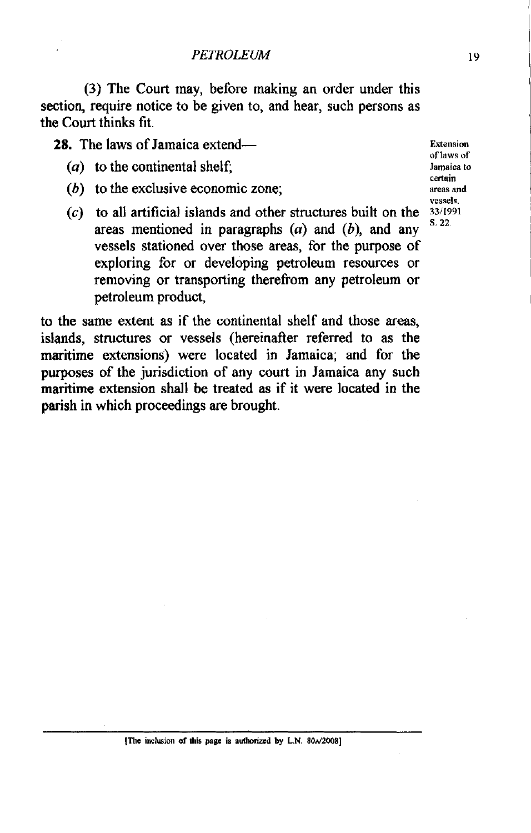(3) The Court may, before making an order under this section, require notice to be given to, and hear, such persons as the Court thinks fit.

28. The laws of Jamaica extend-<br> **Extension** 

- (a) to the continental shelf; Jamaica to **Jamaica** to
- $(b)$  to the exclusive economic zone;
- $(c)$  to all artificial islands and other structures built on the areas mentioned in paragraphs (a) and *(b),* and any vessels stationed over those areas, for the purpose of exploring for or developing petroleum resources or removing or transporting therefrom any petroleum or petroleum product,

to the same extent as if the continental shelf and those areas, islands, structures or vessels (hereinafter referred to as the maritime extensions) were located in Jamaica; and for the purposes of the jurisdiction of any court in Jamaica any such maritime extension shall be treated as if it were located in the parish in which proceedings are brought.

**aflaws of cettain vessels.**  S. **22.**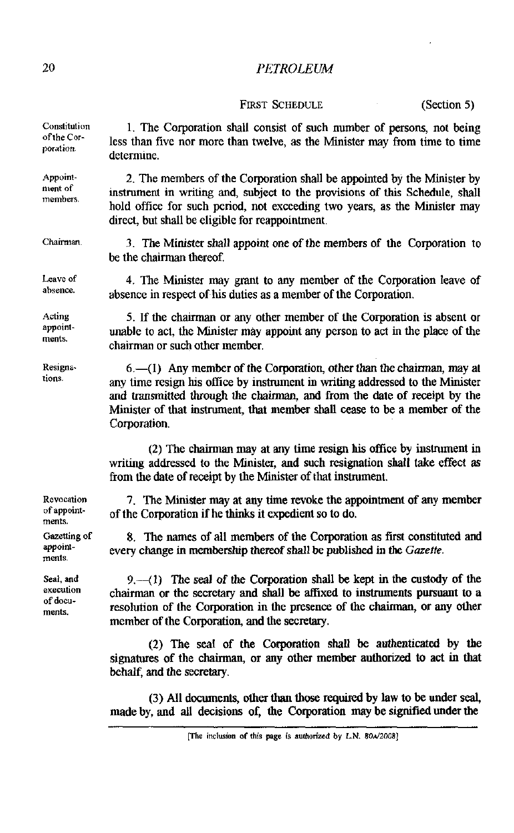FIRST SCHEDULE (Section 5)

| Constitution<br>of the Cor-<br>poration. | 1. The Corporation shall consist of such number of persons, not being<br>less than five nor more than twelve, as the Minister may from time to time<br>determine.                                                                                                                                                                    |
|------------------------------------------|--------------------------------------------------------------------------------------------------------------------------------------------------------------------------------------------------------------------------------------------------------------------------------------------------------------------------------------|
| Appoint-<br>ment of<br>members.          | 2. The members of the Corporation shall be appointed by the Minister by<br>instrument in writing and, subject to the provisions of this Schedule, shall<br>hold office for such period, not exceeding two years, as the Minister may<br>direct, but shall be eligible for reappointment.                                             |
| Chairman.                                | 3. The Minister shall appoint one of the members of the Corporation to<br>be the chairman thereof.                                                                                                                                                                                                                                   |
| Leave of<br>absence.                     | 4. The Minister may grant to any member of the Corporation leave of<br>absence in respect of his duties as a member of the Corporation.                                                                                                                                                                                              |
| Acting<br>appoint-<br>ments.             | 5. If the chairman or any other member of the Corporation is absent or<br>unable to act, the Minister may appoint any person to act in the place of the<br>chairman or such other member.                                                                                                                                            |
| Resigna-<br>tions.                       | $6 - (1)$ Any member of the Corporation, other than the chairman, may at<br>any time resign his office by instrument in writing addressed to the Minister<br>and transmitted through the chairman, and from the date of receipt by the<br>Minister of that instrument, that member shall cease to be a member of the<br>Corporation. |
|                                          | (2) The chairman may at any time resign his office by instrument in<br>writing addressed to the Minister, and such resignation shall take effect as<br>from the date of receipt by the Minister of that instrument.                                                                                                                  |
| Revocation<br>of appoint-<br>ments.      | 7. The Minister may at any time revoke the appointment of any member<br>of the Corporation if he thinks it expedient so to do.                                                                                                                                                                                                       |
| Gazetting of                             | 8. The names of all members of the Corporation as first constituted and                                                                                                                                                                                                                                                              |

**Garelling of**  appoint**ments.** 

**Seal, and execution of documents.** 

 $9.-(1)$  The seal of the Corporation shall be kept in the custody of the chairman or the secretary and **shall** be **affixed** to instruments pursuant to a resolution of the Corporation in the presence of the chairman, or any other member of the Corporation, and the secretary.

every change in membership thereof shall be published in the Gazette.

(2) The seal of the Corporation shall be authenticated by the signatures of the chairman, or any other member authorized to act in that behalf, and the secretary.

(3) All documents, other than those required by law to be under sea4 made by, and all decisions of, the Cotporation may be signified **under** the

<sup>[</sup>The inclusion of this page is authorized by L.N. 80A/2008]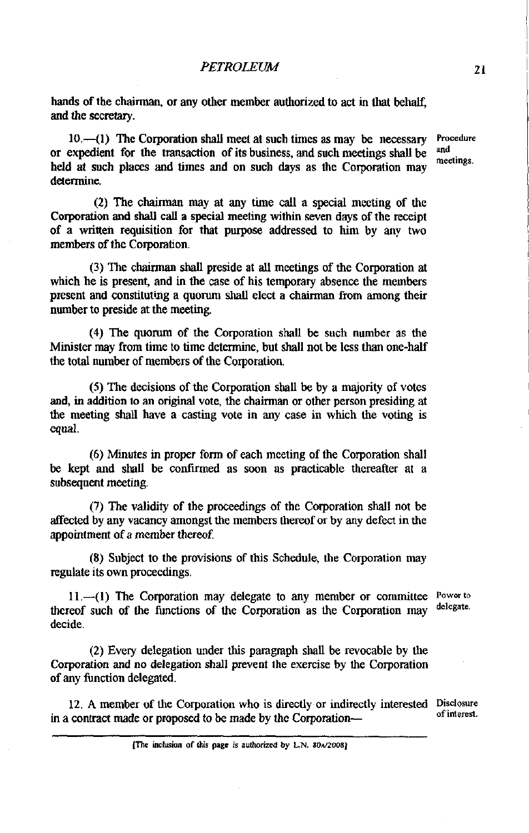hands of the chairman, or any other member authorized to act in that behalf. and the secretary.

10.--(1) The Corporation shall meet at such times as may be necessary **Procedure**  $\alpha$  and  $\alpha$  and  $\alpha$  and  $\alpha$  and  $\alpha$ or expedient for the transaction of its business, and snch meetings shall be held at such places and times and on such days as the Corporation may determine.

meetings.

(2) The chairman may at any time call a special meeting of the Corpomtion and shall call a special meeting within seven days of the receipt of a written requisition for that purpose addressed to him by any two members of the Corporation.

(3) The chairman shall preside at **all** meetings of the Corporation at which he is present, and in the case of his temporary absence the members present and constituting a quorum **shall** elect a chairman **from** among their number to preside at the meeting.

(4) The quom of the Corporation shall be such number as the Minister may from time to time determine, but shall not be less than one-half the total number of members of the Corporation.

(5) The decisions of the Corporation shall be by a majority of votes and, in addition to an original vote, the chairman or other person presiding at the meeting shall have a casting vote in any case in which the voting is **equal.** 

(6) Minutes in proper form of each meeting of the Corporation shall be kept and shall be confirmed as soon as practicable thereafter at a subsequent meeting.

(7) The validity of the proceedings of the Corporation shall not be affected by any vacancy amongst the members thereof or by any defect in the appointment of a member thereof

(8) Subject to the provisions of this Schedule, the Corporation may regulate its own proceedings.

 $11. - (1)$  The Corporation may delegate to any member or committee **Power to**  $\cos \theta$  the function of the Corporation as the Corporation  $\cos \theta$ thereof such of the functions of the Corporation as the Corporation may decide.

(2) Every delegation under this paragraph shall be revocable by the Corporation and no delegation shall prevent the exercise by the Corporation of any function delegated.

12. A member of the Corporation who is directly or indirectly interested **Disclosure**  in a contract made or proposed to be made by the Corporation-

<sup>(</sup>The **iinclusion of Lis pngc is** *auUmircd* **by LN. 80\*12008]**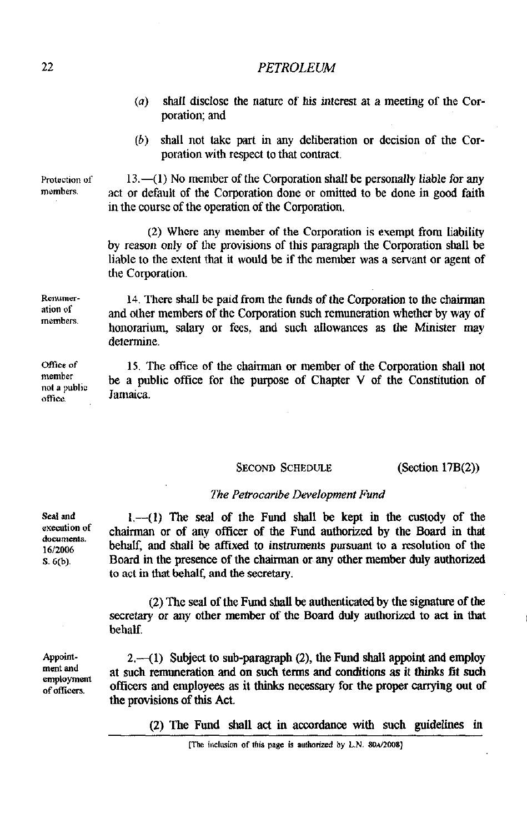- $(a)$  shall disclose the nature of his interest at a meeting of the Corporation; and
- *(b)* shall not take part in any deliberation or decision of the Corporation with respect to that contract.

 $13.(-1)$  No member of the Corporation shall be personally liable for any act or default of the Corporation done or omitted to be done in good faith in the course of the operation of the Corporation.

(2) Whcre any member of the Corporation is exempt from liability by reason only of the provisions of this paragraph the Corporation shall be liable to the extent that it would be if the member was a servant or agent of the Corporation.

14. There shall be paid from the funds of the Corporation to the chairman and other members of the Corporation such remuneration whether by way of honorarium, salary or fees. and such allowances as the Minister may determine.

IS. The ofice of the chairman or member of the Corporation shall not be a public office for **lhe** purpose of Chapter V of the Constitution of Jamaica.

### SECOND SCHEDULE (Section 17B(2))

#### *The Petrocaribe Development Fund*

1.-(1) The seal of the Fund shall be kept **in** the custody of the chairman or of any officer of the Fund authorized by the Board in that behalf, and shall be affixed to instruments pursuant to a resolution of the Board in the presence of the chairman or any other member duly authorized to act in that behalf, and the secretary.

(2) The seal of the Fund shall be authenticated by the signature of the secretary or any other member of the Board duly authorized to act in that behalf.

 $2,-(1)$  Subject to sub-paragraph (2), the Fund shall appoint and employ at such remuneration and on such terms and conditions as it thinks fit such officers and employees as it thinks necessary for the proper canying out of the provisions of this **Act.** 

(2) The Fund shall act in accordance with such guidelines in

**Seal and execution of documcnls. 1612006 S. 6(b).** 

**Appoint**ment and **employment of office".** 

Protection of **members.** 

Renumer**ation of members.** 

**mce of member not a public office.** 

<sup>[</sup>The inclusion of this page is authorized by L.N. 80A/2008]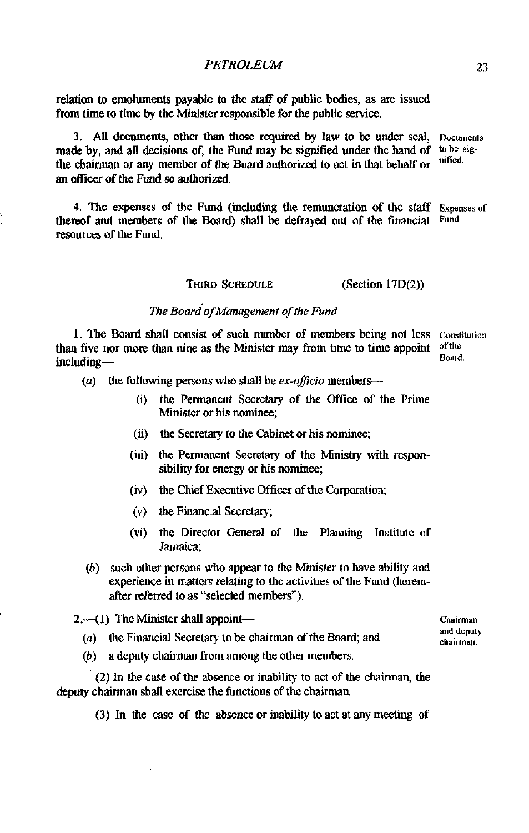relation to emoluments payable to the staff of public bodies, as are issued from time to time by the Ministcr responsible for the public service.

3. All documents, other than those required by law to **be** under seal, **Documems**  made by, and all decisions of, the Fund may be signified under the band of to be a the chairman as any promber of the Board surfacing the other that babal<sup>6</sup> surfilled. the chairman or any member of the Board authorized to act in that behalf or an officer of the Fund so authorized.

4. The expenses of the Fund (including the remuneration of the staff Expenses of reporting the Board) shall be defraved out of the financial Fund. thereof and members of the Board) shall be defrayed out of the financial resources of the Fund.

#### **THIRD SCHEDULE** (Section 17D(2))

## **The Board of Management of the Fund**

1. The Board shall consist of such number of members being not less **Constitution** than five nor more **than** nine as the Minister may from time to time appoint **ofthe**  including-

**(a)** the following persons who shall be **ex-oflcio** members

- (i) the Permanent Secretary of the OMice of the Prime Minister or his nominee;
- (ii) the Secretary to the Cabinet or his nominee;
- (iii) the Permanent Secretary of the Ministry with *respon.*  sibility for energy or his nominee;
- (iv) the Chief Executive Officer of the Corporation;
- **(v)** the Financial Secrekuy.
- (vi) the Director General of the Planning Institute of Jamaica;
- (b) such other persons who appear to the Minister to have ability and experience in matters relating to the activities of the Fund (heremafter referred to as "selected members").

**2.**-41) The Minister shall appoint-

- (a) the Financial Secretary to be chairman of the Board; and **chairman**.
- $(b)$  a deputy chairman from among the other members.

(2) In the case of the absence or inability to act of the chairman, the deputy chairman shall exercise the functions of the chairman

(3) In the case of the absence or inability to act at any meeting of

**and deputy**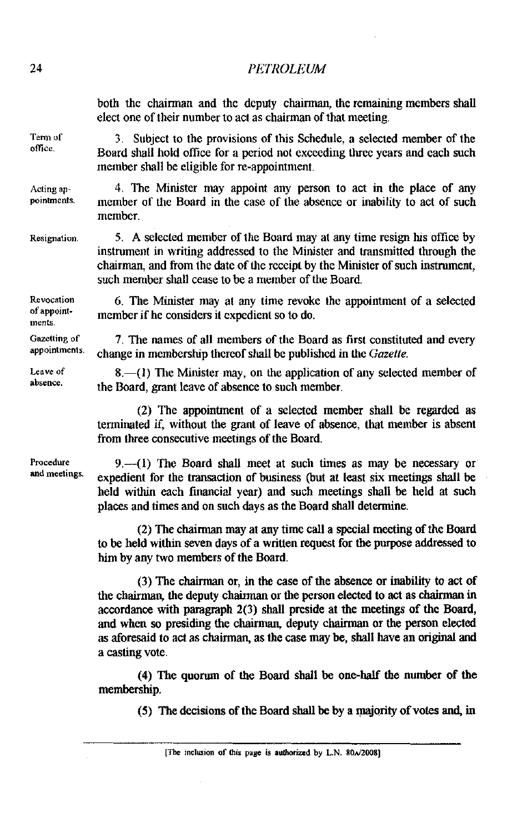both the chairman and the deputy chairman, the remaining members **shall**  elect one of their number to act as chairman of that meeting.

3. Subject to the provisions of this Schedule, a selected member of the Board shall hold office for a period not exceeding three years and each such member shall be eligible for re-appointment.

**Acting appointments.**  4. The Minister may appoint any person to act in the place of any member of the Board in the case of the absence or inability to act of such member.

**Resignation.**  5. A selected member of the Board may at any time resign his office by instrument in writing addressed to the Minister and transmitted through the chairman, and from the date of the receipt by the Minister of such instrument, such member shall cease to be a member of the Board.

**Revocation**  6. The Minister may at any time revoke the appointment of a selected member if be considers it expedient so to do.

7. The names of all members of the Board as first constituted and every change in membership thereof shall be published in the *Gazette.* 

**8.-(1)** The Minister may, on the application of any selected member of the Board, grant leave of absence to such member.

(2) The appointment of a selected member shall be regarded as terminated if, without the grant of leave of absence, that member is absent from three consecutive meetings of the Board.

**9.-41)** The Board shall meet at such times as may be necessary or expedient for the transaction of business (but at least six meetings shall be held within each financial year) and such meetings shall be held at such places and times and on such days as the Board shall determine.

(2) The chairman may at any time call a special meeting of the Board to be held within seven days of a written request for the purpose addressed to him by any two members of the Board.

(3) The chairman or, in the **case** of the absence or inability to act of the chairman, the deputy chairman or the person elected to act as **chainnan** in accordance with paragraph 2(3) shall preside at the meetings of the Board, and when so presiding the chairman deputy chairman or the person elected as aforesaid to act as chairman, as the case may be, shall have an original and a casting vote.

(4) The quorum of the Board shall be one-half the number of the membership.

(5) **The** decisions of the **Board** shall be by a majority of votes and, in

[The inclusion of this page is authorized by L.N. 80 $\lambda$ /2008]

Tern) **of**  office.

**of appointments.** 

**Gazetting of appointmenls.** 

**Leave of absence.** 

**Procedure and meetings.**